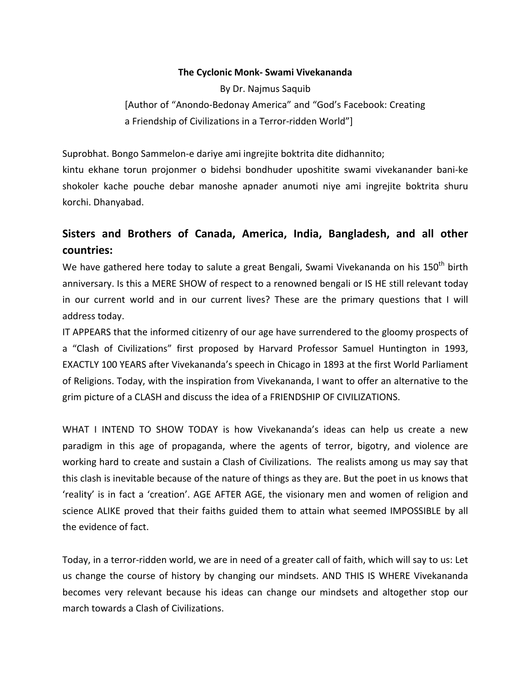#### **The Cyclonic Monk‐ Swami Vivekananda**

By Dr. Najmus Saquib [Author of "Anondo‐Bedonay America" and "God's Facebook: Creating a Friendship of Civilizations in a Terror‐ridden World"]

Suprobhat. Bongo Sammelon‐e dariye ami ingrejite boktrita dite didhannito;

kintu ekhane torun projonmer o bidehsi bondhuder uposhitite swami vivekanander bani‐ke shokoler kache pouche debar manoshe apnader anumoti niye ami ingrejite boktrita shuru korchi. Dhanyabad.

# **Sisters and Brothers of Canada, America, India, Bangladesh, and all other countries:**

We have gathered here today to salute a great Bengali, Swami Vivekananda on his 150<sup>th</sup> birth anniversary. Is this a MERE SHOW of respect to a renowned bengali or IS HE still relevant today in our current world and in our current lives? These are the primary questions that I will address today.

IT APPEARS that the informed citizenry of our age have surrendered to the gloomy prospects of a "Clash of Civilizations" first proposed by Harvard Professor Samuel Huntington in 1993, EXACTLY 100 YEARS after Vivekananda's speech in Chicago in 1893 at the first World Parliament of Religions. Today, with the inspiration from Vivekananda, I want to offer an alternative to the grim picture of a CLASH and discuss the idea of a FRIENDSHIP OF CIVILIZATIONS.

WHAT I INTEND TO SHOW TODAY is how Vivekananda's ideas can help us create a new paradigm in this age of propaganda, where the agents of terror, bigotry, and violence are working hard to create and sustain a Clash of Civilizations. The realists among us may say that this clash is inevitable because of the nature of things as they are. But the poet in us knows that 'reality' is in fact a 'creation'. AGE AFTER AGE, the visionary men and women of religion and science ALIKE proved that their faiths guided them to attain what seemed IMPOSSIBLE by all the evidence of fact.

Today, in a terror‐ridden world, we are in need of a greater call of faith, which will say to us: Let us change the course of history by changing our mindsets. AND THIS IS WHERE Vivekananda becomes very relevant because his ideas can change our mindsets and altogether stop our march towards a Clash of Civilizations.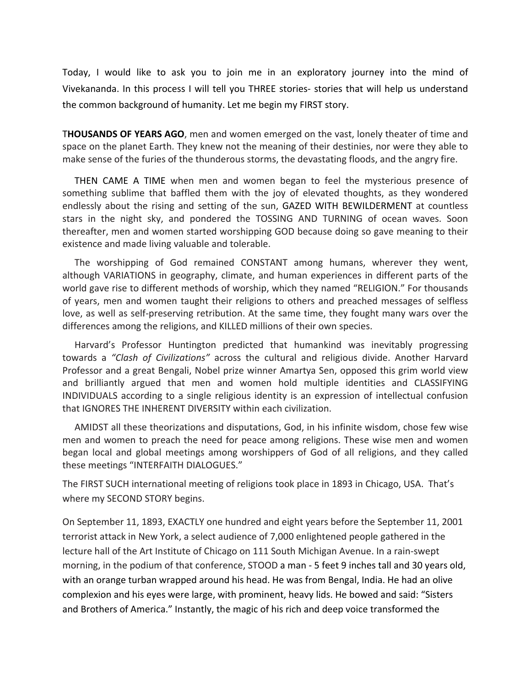Today, I would like to ask you to join me in an exploratory journey into the mind of Vivekananda. In this process I will tell you THREE stories‐ stories that will help us understand the common background of humanity. Let me begin my FIRST story.

T**HOUSANDS OF YEARS AGO**, men and women emerged on the vast, lonely theater of time and space on the planet Earth. They knew not the meaning of their destinies, nor were they able to make sense of the furies of the thunderous storms, the devastating floods, and the angry fire.

THEN CAME A TIME when men and women began to feel the mysterious presence of something sublime that baffled them with the joy of elevated thoughts, as they wondered endlessly about the rising and setting of the sun, GAZED WITH BEWILDERMENT at countless stars in the night sky, and pondered the TOSSING AND TURNING of ocean waves. Soon thereafter, men and women started worshipping GOD because doing so gave meaning to their existence and made living valuable and tolerable.

The worshipping of God remained CONSTANT among humans, wherever they went, although VARIATIONS in geography, climate, and human experiences in different parts of the world gave rise to different methods of worship, which they named "RELIGION." For thousands of years, men and women taught their religions to others and preached messages of selfless love, as well as self‐preserving retribution. At the same time, they fought many wars over the differences among the religions, and KILLED millions of their own species.

Harvard's Professor Huntington predicted that humankind was inevitably progressing towards a *"Clash of Civilizations"* across the cultural and religious divide. Another Harvard Professor and a great Bengali, Nobel prize winner Amartya Sen, opposed this grim world view and brilliantly argued that men and women hold multiple identities and CLASSIFYING INDIVIDUALS according to a single religious identity is an expression of intellectual confusion that IGNORES THE INHERENT DIVERSITY within each civilization.

AMIDST all these theorizations and disputations, God, in his infinite wisdom, chose few wise men and women to preach the need for peace among religions. These wise men and women began local and global meetings among worshippers of God of all religions, and they called these meetings "INTERFAITH DIALOGUES."

The FIRST SUCH international meeting of religions took place in 1893 in Chicago, USA. That's where my SECOND STORY begins.

On September 11, 1893, EXACTLY one hundred and eight years before the September 11, 2001 terrorist attack in New York, a select audience of 7,000 enlightened people gathered in the lecture hall of the Art Institute of Chicago on 111 South Michigan Avenue. In a rain‐swept morning, in the podium of that conference, STOOD a man ‐ 5 feet 9 inches tall and 30 years old, with an orange turban wrapped around his head. He was from Bengal, India. He had an olive complexion and his eyes were large, with prominent, heavy lids. He bowed and said: "Sisters and Brothers of America." Instantly, the magic of his rich and deep voice transformed the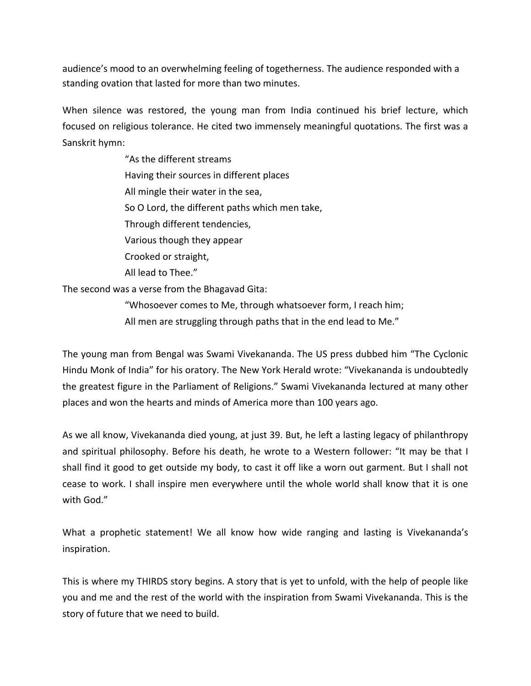audience's mood to an overwhelming feeling of togetherness. The audience responded with a standing ovation that lasted for more than two minutes.

When silence was restored, the young man from India continued his brief lecture, which focused on religious tolerance. He cited two immensely meaningful quotations. The first was a Sanskrit hymn:

> "As the different streams Having their sources in different places All mingle their water in the sea, So O Lord, the different paths which men take, Through different tendencies, Various though they appear Crooked or straight, All lead to Thee."

The second was a verse from the Bhagavad Gita:

"Whosoever comes to Me, through whatsoever form, I reach him;

All men are struggling through paths that in the end lead to Me."

The young man from Bengal was Swami Vivekananda. The US press dubbed him "The Cyclonic Hindu Monk of India" for his oratory. The New York Herald wrote: "Vivekananda is undoubtedly the greatest figure in the Parliament of Religions." Swami Vivekananda lectured at many other places and won the hearts and minds of America more than 100 years ago.

As we all know, Vivekananda died young, at just 39. But, he left a lasting legacy of philanthropy and spiritual philosophy. Before his death, he wrote to a Western follower: "It may be that I shall find it good to get outside my body, to cast it off like a worn out garment. But I shall not cease to work. I shall inspire men everywhere until the whole world shall know that it is one with God."

What a prophetic statement! We all know how wide ranging and lasting is Vivekananda's inspiration.

This is where my THIRDS story begins. A story that is yet to unfold, with the help of people like you and me and the rest of the world with the inspiration from Swami Vivekananda. This is the story of future that we need to build.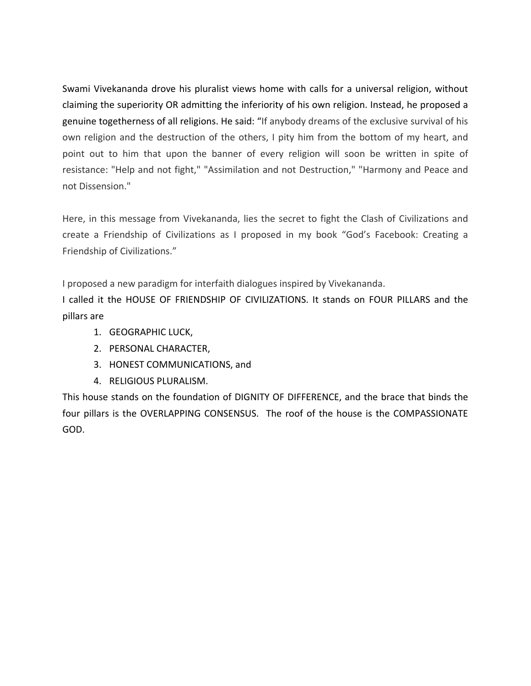Swami Vivekananda drove his pluralist views home with calls for a universal religion, without claiming the superiority OR admitting the inferiority of his own religion. Instead, he proposed a genuine togetherness of all religions. He said: "If anybody dreams of the exclusive survival of his own religion and the destruction of the others, I pity him from the bottom of my heart, and point out to him that upon the banner of every religion will soon be written in spite of resistance: "Help and not fight," "Assimilation and not Destruction," "Harmony and Peace and not Dissension."

Here, in this message from Vivekananda, lies the secret to fight the Clash of Civilizations and create a Friendship of Civilizations as I proposed in my book "God's Facebook: Creating a Friendship of Civilizations."

I proposed a new paradigm for interfaith dialogues inspired by Vivekananda.

I called it the HOUSE OF FRIENDSHIP OF CIVILIZATIONS. It stands on FOUR PILLARS and the pillars are

- 1. GEOGRAPHIC LUCK,
- 2. PERSONAL CHARACTER,
- 3. HONEST COMMUNICATIONS, and
- 4. RELIGIOUS PLURALISM.

This house stands on the foundation of DIGNITY OF DIFFERENCE, and the brace that binds the four pillars is the OVERLAPPING CONSENSUS. The roof of the house is the COMPASSIONATE GOD.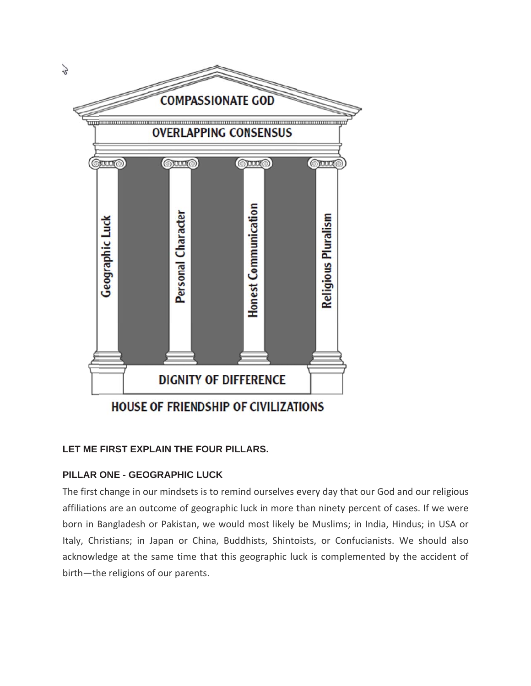

# LET ME FIRST EXPLAIN THE FOUR PILLARS.

# **PILLAR ONE - GEOGRAPHIC LUCK**

The first change in our mindsets is to remind ourselves every day that our God and our religious affiliations are an outcome of geographic luck in more than ninety percent of cases. If we were born in Bangladesh or Pakistan, we would most likely be Muslims; in India, Hindus; in USA or Italy, Christians; in Japan or China, Buddhists, Shintoists, or Confucianists. We should also acknowledge at the same time that this geographic luck is complemented by the accident of birth-the religions of our parents.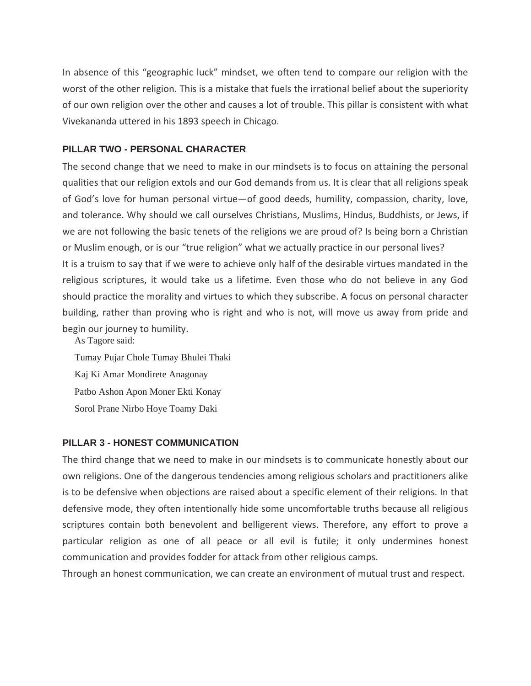In absence of this "geographic luck" mindset, we often tend to compare our religion with the worst of the other religion. This is a mistake that fuels the irrational belief about the superiority of our own religion over the other and causes a lot of trouble. This pillar is consistent with what Vivekananda uttered in his 1893 speech in Chicago.

### **PILLAR TWO - PERSONAL CHARACTER**

The second change that we need to make in our mindsets is to focus on attaining the personal qualities that our religion extols and our God demands from us. It is clear that all religions speak of God's love for human personal virtue—of good deeds, humility, compassion, charity, love, and tolerance. Why should we call ourselves Christians, Muslims, Hindus, Buddhists, or Jews, if we are not following the basic tenets of the religions we are proud of? Is being born a Christian or Muslim enough, or is our "true religion" what we actually practice in our personal lives? It is a truism to say that if we were to achieve only half of the desirable virtues mandated in the religious scriptures, it would take us a lifetime. Even those who do not believe in any God should practice the morality and virtues to which they subscribe. A focus on personal character building, rather than proving who is right and who is not, will move us away from pride and begin our journey to humility.

As Tagore said: Tumay Pujar Chole Tumay Bhulei Thaki Kaj Ki Amar Mondirete Anagonay Patbo Ashon Apon Moner Ekti Konay Sorol Prane Nirbo Hoye Toamy Daki

#### **PILLAR 3 - HONEST COMMUNICATION**

The third change that we need to make in our mindsets is to communicate honestly about our own religions. One of the dangerous tendencies among religious scholars and practitioners alike is to be defensive when objections are raised about a specific element of their religions. In that defensive mode, they often intentionally hide some uncomfortable truths because all religious scriptures contain both benevolent and belligerent views. Therefore, any effort to prove a particular religion as one of all peace or all evil is futile; it only undermines honest communication and provides fodder for attack from other religious camps.

Through an honest communication, we can create an environment of mutual trust and respect.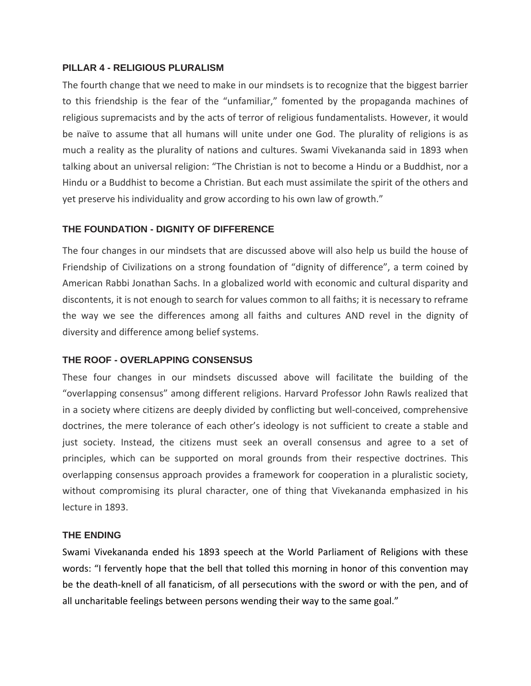#### **PILLAR 4 - RELIGIOUS PLURALISM**

The fourth change that we need to make in our mindsets is to recognize that the biggest barrier to this friendship is the fear of the "unfamiliar," fomented by the propaganda machines of religious supremacists and by the acts of terror of religious fundamentalists. However, it would be naïve to assume that all humans will unite under one God. The plurality of religions is as much a reality as the plurality of nations and cultures. Swami Vivekananda said in 1893 when talking about an universal religion: "The Christian is not to become a Hindu or a Buddhist, nor a Hindu or a Buddhist to become a Christian. But each must assimilate the spirit of the others and yet preserve his individuality and grow according to his own law of growth."

### **THE FOUNDATION - DIGNITY OF DIFFERENCE**

The four changes in our mindsets that are discussed above will also help us build the house of Friendship of Civilizations on a strong foundation of "dignity of difference", a term coined by American Rabbi Jonathan Sachs. In a globalized world with economic and cultural disparity and discontents, it is not enough to search for values common to all faiths; it is necessary to reframe the way we see the differences among all faiths and cultures AND revel in the dignity of diversity and difference among belief systems.

## **THE ROOF - OVERLAPPING CONSENSUS**

These four changes in our mindsets discussed above will facilitate the building of the "overlapping consensus" among different religions. Harvard Professor John Rawls realized that in a society where citizens are deeply divided by conflicting but well-conceived, comprehensive doctrines, the mere tolerance of each other's ideology is not sufficient to create a stable and just society. Instead, the citizens must seek an overall consensus and agree to a set of principles, which can be supported on moral grounds from their respective doctrines. This overlapping consensus approach provides a framework for cooperation in a pluralistic society, without compromising its plural character, one of thing that Vivekananda emphasized in his lecture in 1893.

#### **THE ENDING**

Swami Vivekananda ended his 1893 speech at the World Parliament of Religions with these words: "I fervently hope that the bell that tolled this morning in honor of this convention may be the death-knell of all fanaticism, of all persecutions with the sword or with the pen, and of all uncharitable feelings between persons wending their way to the same goal."